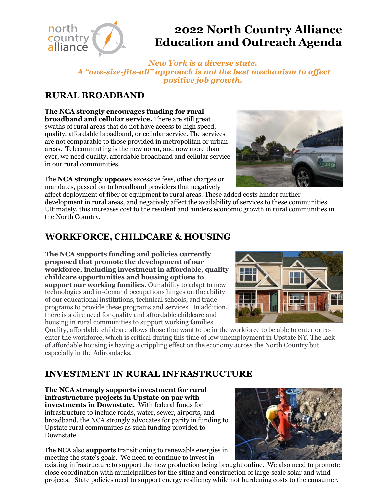

# **2022 North Country Alliance Education and Outreach Agenda**

*New York is a diverse state. A "one-size-fits-all" approach is not the best mechanism to affect positive job growth.*

## **RURAL BROADBAND**

**The NCA strongly encourages funding for rural broadband and cellular service.** There are still great swaths of rural areas that do not have access to high speed, quality, affordable broadband, or cellular service. The services are not comparable to those provided in metropolitan or urban areas. Telecommuting is the new norm, and now more than ever, we need quality, affordable broadband and cellular service in our rural communities.

The **NCA strongly opposes** excessive fees, other charges or mandates, passed on to broadband providers that negatively



affect deployment of fiber or equipment to rural areas. These added costs hinder further development in rural areas, and negatively affect the availability of services to these communities. Ultimately, this increases cost to the resident and hinders economic growth in rural communities in the North Country.

### **WORKFORCE, CHILDCARE & HOUSING**

**The NCA supports funding and policies currently proposed that promote the development of our workforce, including investment in affordable, quality childcare opportunities and housing options to support our working families.** Our ability to adapt to new technologies and in-demand occupations hinges on the ability of our educational institutions, technical schools, and trade programs to provide these programs and services. In addition, there is a dire need for quality and affordable childcare and housing in rural communities to support working families.



Quality, affordable childcare allows those that want to be in the workforce to be able to enter or reenter the workforce, which is critical during this time of low unemployment in Upstate NY. The lack of affordable housing is having a crippling effect on the economy across the North Country but especially in the Adirondacks.

# **INVESTMENT IN RURAL INFRASTRUCTURE**

**The NCA strongly supports investment for rural infrastructure projects in Upstate on par with investments in Downstate.** With federal funds for infrastructure to include roads, water, sewer, airports, and broadband, the NCA strongly advocates for parity in funding to Upstate rural communities as such funding provided to Downstate.

The NCA also **supports** transitioning to renewable energies in meeting the state's goals. We need to continue to invest in



existing infrastructure to support the new production being brought online. We also need to promote close coordination with municipalities for the siting and construction of large-scale solar and wind projects. State policies need to support energy resiliency while not burdening costs to the consumer.